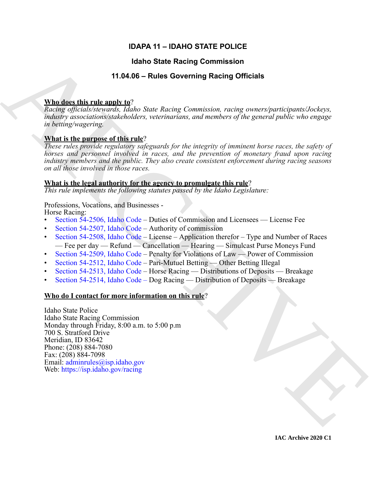# **IDAPA 11 – IDAHO STATE POLICE**

# **Idaho State Racing Commission**

# **11.04.06 – Rules Governing Racing Officials**

# **Who does this rule apply to**?

*Racing officials/stewards, Idaho State Racing Commission, racing owners/participants/Jockeys, industry associations/stakeholders, veterinarians, and members of the general public who engage in betting/wagering.*

# **What is the purpose of this rule**?

*These rules provide regulatory safeguards for the integrity of imminent horse races, the safety of horses and personnel involved in races, and the prevention of monetary fraud upon racing industry members and the public. They also create consistent enforcement during racing seasons on all those involved in those races.*

### **What is the legal authority for the agency to promulgate this rule**?

*This rule implements the following statutes passed by the Idaho Legislature:*

# Professions, Vocations, and Businesses -

Horse Racing:

- Section 54-2506, Idaho Code Duties of Commission and Licensees License Fee
- Section 54-2507, Idaho Code Authority of commission
- Section 54-2508, Idaho Code License Application therefor Type and Number of Races — Fee per day — Refund — Cancellation — Hearing — Simulcast Purse Moneys Fund
- Section 54-2509, Idaho Code Penalty for Violations of Law Power of Commission
- Section 54-2512, Idaho Code Pari-Mutuel Betting Other Betting Illegal
- Section 54-2513, Idaho Code Horse Racing Distributions of Deposits Breakage
- Section 54-2514, Idaho Code Dog Racing Distribution of Deposits Breakage

### **Who do I contact for more information on this rule**?

**Halo State Recinq [C](https://legislature.idaho.gov/statutesrules/idstat/Title54/T54CH25/SECT54-2506/)ommission**<br> **ARCHI[VE](mailto: adminrules@isp.idaho.gov) THE SUCHER COVERTITY CONSULTER**<br> **ARCHIVE ARCHIVE ARCHIVE AND SINCE Recinq** Connections, rating conversion-training<br> *Resing of introduce the state for this contribution, we are al* Idaho State Police Idaho State Racing Commission Monday through Friday, 8:00 a.m. to 5:00 p.m 700 S. Stratford Drive Meridian, ID 83642 Phone: (208) 884-7080 Fax: (208) 884-7098 Email: adminrules@isp.idaho.gov Web: https://isp.idaho.gov/racing

**IAC Archive 2020 C1**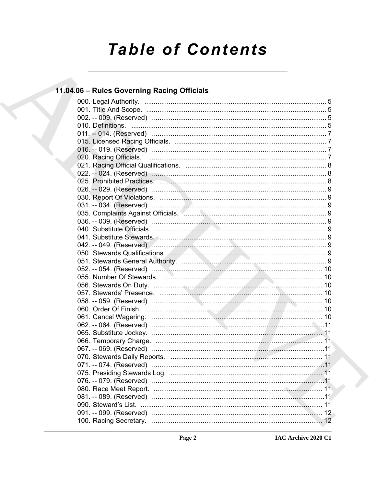# **Table of Contents**

# 11.04.06 - Rules Governing Racing Officials

|  | 11 |  |
|--|----|--|
|  |    |  |
|  |    |  |
|  |    |  |
|  |    |  |
|  |    |  |
|  |    |  |
|  |    |  |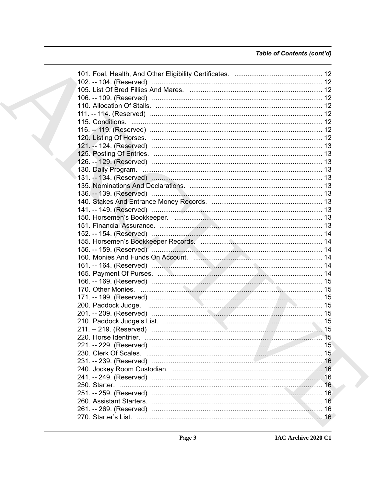# Table of Contents (cont'd)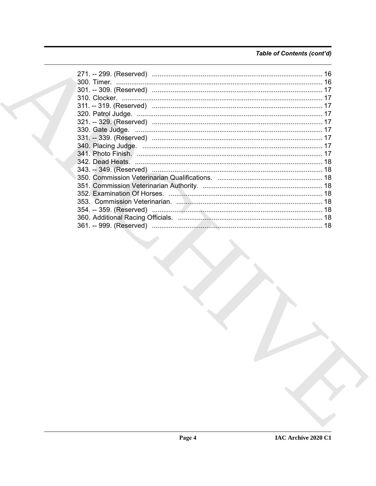# Table of Contents (cont'd)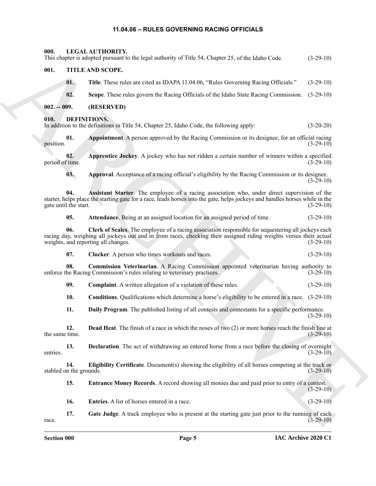# <span id="page-4-24"></span><span id="page-4-23"></span><span id="page-4-9"></span><span id="page-4-8"></span><span id="page-4-7"></span><span id="page-4-6"></span>**11.04.06 – RULES GOVERNING RACING OFFICIALS**

<span id="page-4-22"></span><span id="page-4-21"></span><span id="page-4-20"></span><span id="page-4-19"></span><span id="page-4-18"></span><span id="page-4-17"></span><span id="page-4-16"></span><span id="page-4-15"></span><span id="page-4-14"></span><span id="page-4-13"></span><span id="page-4-12"></span><span id="page-4-11"></span><span id="page-4-10"></span><span id="page-4-5"></span><span id="page-4-4"></span><span id="page-4-3"></span><span id="page-4-2"></span><span id="page-4-1"></span><span id="page-4-0"></span>

| 000.                           | <b>LEGAL AUTHORITY.</b><br>This chapter is adopted pursuant to the legal authority of Title 54, Chapter 25, of the Idaho Code.                                                                                                                                   | $(3-29-10)$ |
|--------------------------------|------------------------------------------------------------------------------------------------------------------------------------------------------------------------------------------------------------------------------------------------------------------|-------------|
| 001.                           | TITLE AND SCOPE.                                                                                                                                                                                                                                                 |             |
| 01.                            | Title. These rules are cited as IDAPA 11.04.06, "Rules Governing Racing Officials."                                                                                                                                                                              | $(3-29-10)$ |
| 02.                            | Scope. These rules govern the Racing Officials of the Idaho State Racing Commission.                                                                                                                                                                             | $(3-29-10)$ |
| $002. - 009.$                  | (RESERVED)                                                                                                                                                                                                                                                       |             |
| 010.                           | DEFINITIONS.<br>In addition to the definitions in Title 54, Chapter 25, Idaho Code, the following apply:                                                                                                                                                         | $(3-20-20)$ |
| 01.<br>position.               | Appointment. A person approved by the Racing Commission or its designee, for an official racing                                                                                                                                                                  | $(3-29-10)$ |
| 02.<br>period of time.         | Apprentice Jockey. A jockey who has not ridden a certain number of winners within a specified                                                                                                                                                                    | $(3-29-10)$ |
| 03.                            | Approval. Acceptance of a racing official's eligibility by the Racing Commission or its designee.                                                                                                                                                                | $(3-29-10)$ |
| 04.<br>gate until the start.   | Assistant Starter. The employee of a racing association who, under direct supervision of the<br>starter, helps place the starting gate for a race, leads horses into the gate, helps jockeys and handles horses while in the                                     | $(3-29-10)$ |
| 05.                            | Attendance. Being at an assigned location for an assigned period of time.                                                                                                                                                                                        | $(3-29-10)$ |
| 06.                            | Clerk of Scales. The employee of a racing association responsible for sequestering all jockeys each<br>racing day, weighing all jockeys out and in from races, checking their assigned riding weights versus their actual<br>weights, and reporting all changes. | $(3-29-10)$ |
| 07.                            | Clocker. A person who times workouts and races.                                                                                                                                                                                                                  | $(3-29-10)$ |
| 08.                            | Commission Veterinarian. A Racing Commission appointed veterinarian having authority to<br>enforce the Racing Commission's rules relating to veterinary practices.                                                                                               | $(3-29-10)$ |
| 09.                            | <b>Complaint.</b> A written allegation of a violation of these rules.                                                                                                                                                                                            | $(3-29-10)$ |
| 10.                            | <b>Conditions.</b> Qualifications which determine a horse's eligibility to be entered in a race. (3-29-10)                                                                                                                                                       |             |
| 11.                            | Daily Program. The published listing of all contests and contestants for a specific performance.                                                                                                                                                                 | $(3-29-10)$ |
| 12.<br>the same time.          | <b>Dead Heat.</b> The finish of a race in which the noses of two (2) or more horses reach the finish line at                                                                                                                                                     | $(3-29-10)$ |
| 13.<br>entries.                | <b>Declaration</b> . The act of withdrawing an entered horse from a race before the closing of overnight                                                                                                                                                         | $(3-29-10)$ |
| 14.<br>stabled on the grounds. | Eligibility Certificate. Document(s) showing the eligibility of all horses competing at the track or                                                                                                                                                             | $(3-29-10)$ |
| 15.                            | <b>Entrance Money Records.</b> A record showing all monies due and paid prior to entry of a contest.                                                                                                                                                             | $(3-29-10)$ |
| 16.                            | Entries. A list of horses entered in a race.                                                                                                                                                                                                                     | $(3-29-10)$ |
| 17.<br>race.                   | Gate Judge. A track employee who is present at the starting gate just prior to the running of each                                                                                                                                                               | $(3-29-10)$ |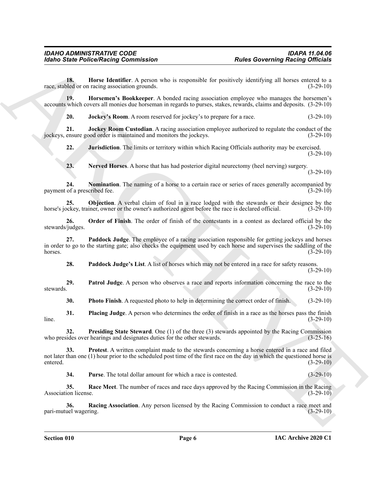<span id="page-5-0"></span>**18. Horse Identifier**. A person who is responsible for positively identifying all horses entered to a race, stabled or on racing association grounds. (3-29-10)

**19. Horsemen's Bookkeeper**. A bonded racing association employee who manages the horsemen's accounts which covers all monies due horseman in regards to purses, stakes, rewards, claims and deposits. (3-29-10)

<span id="page-5-3"></span><span id="page-5-2"></span><span id="page-5-1"></span>**20. Jockey's Room**. A room reserved for jockey's to prepare for a race. (3-29-10)

**21. Jockey Room Custodian**. A racing association employee authorized to regulate the conduct of the jockeys, ensure good order is maintained and monitors the jockeys. (3-29-10)

<span id="page-5-4"></span>**22. Jurisdiction**. The limits or territory within which Racing Officials authority may be exercised.  $(3-29-10)$ 

<span id="page-5-7"></span><span id="page-5-6"></span><span id="page-5-5"></span>**23. Nerved Horses**. A horse that has had posterior digital neurectomy (heel nerving) surgery. (3-29-10)

**24.** Nomination. The naming of a horse to a certain race or series of races generally accompanied by of a prescribed fee. (3-29-10) payment of a prescribed fee.

**25. Objection**. A verbal claim of foul in a race lodged with the stewards or their designee by the ockey, trainer, owner or the owner's authorized agent before the race is declared official. (3-29-10) horse's jockey, trainer, owner or the owner's authorized agent before the race is declared official.

<span id="page-5-8"></span>**26. Order of Finish**. The order of finish of the contestants in a contest as declared official by the *(judges.* (3-29-10) stewards/judges.

For the Police Relation Commutation<br>
The Charlier distribution (Expeditive Systems)<br>
The Charlier Line and the Systems of the Systems of the Systems of the Systems of the Systems of the Charlier of the Charlier Charlier d **27. Paddock Judge**. The employee of a racing association responsible for getting jockeys and horses in order to go to the starting gate; also checks the equipment used by each horse and supervises the saddling of the horses.  $(3-29-10)$ 

<span id="page-5-11"></span><span id="page-5-10"></span><span id="page-5-9"></span>**28.** Paddock Judge's List. A list of horses which may not be entered in a race for safety reasons. (3-29-10)

**29. Patrol Judge**. A person who observes a race and reports information concerning the race to the stewards. (3-29-10)

<span id="page-5-14"></span><span id="page-5-13"></span><span id="page-5-12"></span>**30. Photo Finish**. A requested photo to help in determining the correct order of finish. (3-29-10)

**31. Placing Judge**. A person who determines the order of finish in a race as the horses pass the finish (3-29-10)  $\ln 2$  (3-29-10)

**32. Presiding State Steward**. One (1) of the three (3) stewards appointed by the Racing Commission sides over hearings and designates duties for the other stewards. (3-25-16) who presides over hearings and designates duties for the other stewards.

**33. Protest**. A written complaint made to the stewards concerning a horse entered in a race and filed not later than one (1) hour prior to the scheduled post time of the first race on the day in which the questioned horse is entered. (3-29-10)

<span id="page-5-18"></span><span id="page-5-17"></span><span id="page-5-16"></span><span id="page-5-15"></span>**34. Purse**. The total dollar amount for which a race is contested. (3-29-10)

**35. Race Meet**. The number of races and race days approved by the Racing Commission in the Racing Association license. (3-29-10)

**36.** Racing Association. Any person licensed by the Racing Commission to conduct a race meet and uel wagering. (3-29-10) pari-mutuel wagering.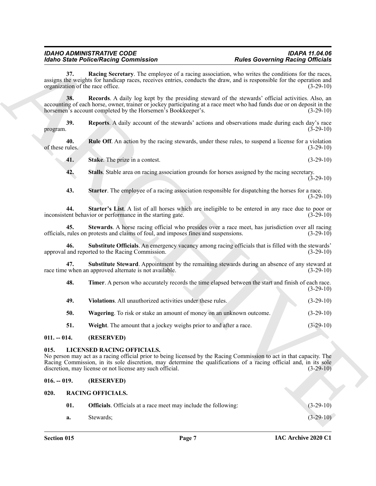<span id="page-6-18"></span><span id="page-6-17"></span><span id="page-6-16"></span><span id="page-6-15"></span><span id="page-6-11"></span><span id="page-6-10"></span><span id="page-6-9"></span>

| -48. | <b>Timer.</b> A person who accurately records the time elapsed between the start and finish of each race. |  |             |
|------|-----------------------------------------------------------------------------------------------------------|--|-------------|
|      |                                                                                                           |  | $(3-29-10)$ |

- <span id="page-6-19"></span>**49. Violations**. All unauthorized activities under these rules. (3-29-10)
- <span id="page-6-21"></span><span id="page-6-20"></span>**50. Wagering**. To risk or stake an amount of money on an unknown outcome. (3-29-10)
- <span id="page-6-12"></span>**51. Weight**. The amount that a jockey weighs prior to and after a race. (3-29-10)

#### <span id="page-6-0"></span>**011. -- 014. (RESERVED)**

#### <span id="page-6-1"></span>**015. LICENSED RACING OFFICIALS.**

#### <span id="page-6-14"></span><span id="page-6-13"></span><span id="page-6-3"></span><span id="page-6-2"></span>**016. -- 019. (RESERVED)**

<span id="page-6-8"></span><span id="page-6-7"></span><span id="page-6-6"></span><span id="page-6-5"></span><span id="page-6-4"></span>

|                                         | <b>Idaho State Police/Racing Commission</b>                                                    | <b>Rules Governing Racing Officials</b>                                                                                                                                                                                                                  |
|-----------------------------------------|------------------------------------------------------------------------------------------------|----------------------------------------------------------------------------------------------------------------------------------------------------------------------------------------------------------------------------------------------------------|
| 37.<br>organization of the race office. |                                                                                                | Racing Secretary. The employee of a racing association, who writes the conditions for the races,<br>assigns the weights for handicap races, receives entries, conducts the draw, and is responsible for the operation and<br>$(3-29-10)$                 |
| 38.                                     | horsemen's account completed by the Horsemen's Bookkeeper's.                                   | Records. A daily log kept by the presiding steward of the stewards' official activities. Also, an<br>accounting of each horse, owner, trainer or jockey participating at a race meet who had funds due or on deposit in the<br>$(3-29-10)$               |
| 39.<br>program.                         |                                                                                                | <b>Reports.</b> A daily account of the stewards' actions and observations made during each day's race<br>$(3-29-10)$                                                                                                                                     |
| 40.<br>of these rules.                  |                                                                                                | <b>Rule Off.</b> An action by the racing stewards, under these rules, to suspend a license for a violation<br>$(3-29-10)$                                                                                                                                |
| 41.                                     | Stake. The prize in a contest.                                                                 | $(3-29-10)$                                                                                                                                                                                                                                              |
| 42.                                     | Stalls. Stable area on racing association grounds for horses assigned by the racing secretary. | $(3-29-10)$                                                                                                                                                                                                                                              |
| 43.                                     |                                                                                                | Starter. The employee of a racing association responsible for dispatching the horses for a race.<br>$(3-29-10)$                                                                                                                                          |
| 44.                                     | inconsistent behavior or performance in the starting gate.                                     | Starter's List. A list of all horses which are ineligible to be entered in any race due to poor or<br>$(3-29-10)$                                                                                                                                        |
| 45.                                     | officials, rules on protests and claims of foul, and imposes fines and suspensions.            | Stewards. A horse racing official who presides over a race meet, has jurisdiction over all racing<br>$(3-29-10)$                                                                                                                                         |
| 46.                                     | approval and reported to the Racing Commission.                                                | Substitute Officials. An emergency vacancy among racing officials that is filled with the stewards'<br>$(3-29-10)$                                                                                                                                       |
| 47.                                     | race time when an approved alternate is not available.                                         | Substitute Steward. Appointment by the remaining stewards during an absence of any steward at<br>$(3-29-10)$                                                                                                                                             |
| 48.                                     |                                                                                                | Timer. A person who accurately records the time elapsed between the start and finish of each race.<br>$(3-29-10)$                                                                                                                                        |
| 49.                                     | Violations. All unauthorized activities under these rules.                                     | $(3-29-10)$                                                                                                                                                                                                                                              |
| 50.                                     | Wagering. To risk or stake an amount of money on an unknown outcome.                           | $(3-29-10)$                                                                                                                                                                                                                                              |
| 51.                                     | Weight. The amount that a jockey weighs prior to and after a race.                             | $(3-29-10)$                                                                                                                                                                                                                                              |
| $011. - 014.$                           | (RESERVED)                                                                                     |                                                                                                                                                                                                                                                          |
| 015.                                    | <b>LICENSED RACING OFFICIALS.</b><br>discretion, may license or not license any such official. | No person may act as a racing official prior to being licensed by the Racing Commission to act in that capacity. The<br>Racing Commission, in its sole discretion, may determine the qualifications of a racing official and, in its sole<br>$(3-29-10)$ |
| $016. - 019.$                           | (RESERVED)                                                                                     |                                                                                                                                                                                                                                                          |
| 020.                                    | <b>RACING OFFICIALS.</b>                                                                       |                                                                                                                                                                                                                                                          |
|                                         |                                                                                                |                                                                                                                                                                                                                                                          |
| 01.                                     | <b>Officials</b> . Officials at a race meet may include the following:                         | $(3-29-10)$                                                                                                                                                                                                                                              |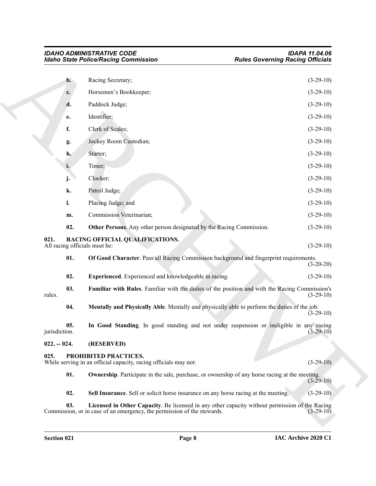<span id="page-7-13"></span><span id="page-7-12"></span><span id="page-7-11"></span><span id="page-7-10"></span><span id="page-7-9"></span><span id="page-7-8"></span><span id="page-7-7"></span><span id="page-7-6"></span><span id="page-7-5"></span><span id="page-7-4"></span><span id="page-7-3"></span><span id="page-7-2"></span><span id="page-7-1"></span><span id="page-7-0"></span>

|                                       | <b>Idaho State Police/Racing Commission</b>                                                                                                                               | <b>Rules Governing Racing Officials</b> |  |
|---------------------------------------|---------------------------------------------------------------------------------------------------------------------------------------------------------------------------|-----------------------------------------|--|
| $\mathbf{b}$ .                        | Racing Secretary;                                                                                                                                                         | $(3-29-10)$                             |  |
| c.                                    | Horsemen's Bookkeeper;                                                                                                                                                    | $(3-29-10)$                             |  |
| d.                                    | Paddock Judge;                                                                                                                                                            | $(3-29-10)$                             |  |
| e.                                    | Identifier;                                                                                                                                                               | $(3-29-10)$                             |  |
| f.                                    | Clerk of Scales;                                                                                                                                                          | $(3-29-10)$                             |  |
| g.                                    | Jockey Room Custodian;                                                                                                                                                    | $(3-29-10)$                             |  |
| h.                                    | Starter;                                                                                                                                                                  | $(3-29-10)$                             |  |
| i.                                    | Timer;                                                                                                                                                                    | $(3-29-10)$                             |  |
| j.                                    | Clocker;                                                                                                                                                                  | $(3-29-10)$                             |  |
| k.                                    | Patrol Judge;                                                                                                                                                             | $(3-29-10)$                             |  |
| 1.                                    | Placing Judge; and                                                                                                                                                        | $(3-29-10)$                             |  |
| m.                                    | Commission Veterinarian;                                                                                                                                                  | $(3-29-10)$                             |  |
| 02.                                   | Other Persons. Any other person designated by the Racing Commission.                                                                                                      | $(3-29-10)$                             |  |
| 021.<br>All racing officials must be: | RACING OFFICIAL QUALIFICATIONS.                                                                                                                                           | $(3-29-10)$                             |  |
| 01.                                   | Of Good Character. Pass all Racing Commission background and fingerprint requirements.                                                                                    | $(3-20-20)$                             |  |
| 02.                                   | Experienced. Experienced and knowledgeable in racing.                                                                                                                     | $(3-29-10)$                             |  |
| 03.<br>rules.                         | Familiar with Rules. Familiar with the duties of the position and with the Racing Commission's                                                                            | $(3-29-10)$                             |  |
| 04.                                   | Mentally and Physically Able. Mentally and physically able to perform the duties of the job.                                                                              | $(3-29-10)$                             |  |
| 05.<br>jurisdiction.                  | In Good Standing. In good standing and not under suspension or ineligible in any racing                                                                                   | $(3 - 29 - 10)$                         |  |
| $022. - 024.$                         | (RESERVED)                                                                                                                                                                |                                         |  |
| 025.                                  | PROHIBITED PRACTICES.<br>While serving in an official capacity, racing officials may not:                                                                                 | $(3-29-10)$                             |  |
| 01.                                   | <b>Ownership</b> . Participate in the sale, purchase, or ownership of any horse racing at the meeting.                                                                    | $(3-29-10)$                             |  |
| 02.                                   | Sell Insurance. Sell or solicit horse insurance on any horse racing at the meeting.                                                                                       | $(3-29-10)$                             |  |
| 03.                                   | Licensed in Other Capacity. Be licensed in any other capacity without permission of the Racing<br>Commission, or in case of an emergency, the permission of the stewards. | $(3-29-10)$                             |  |
|                                       |                                                                                                                                                                           |                                         |  |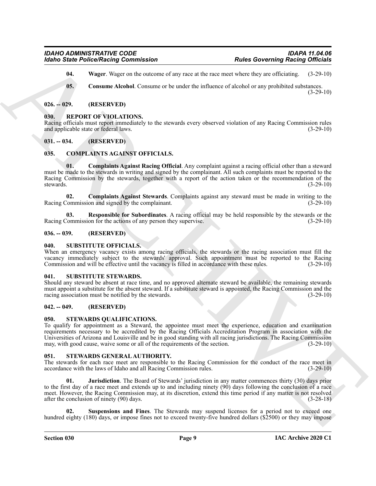<span id="page-8-15"></span>**04.** Wager. Wager on the outcome of any race at the race meet where they are officiating. (3-29-10)

<span id="page-8-14"></span>**05.** Consume Alcohol. Consume or be under the influence of alcohol or any prohibited substances.  $(3-29-10)$ 

#### <span id="page-8-0"></span>**026. -- 029. (RESERVED)**

#### <span id="page-8-16"></span><span id="page-8-1"></span>**030. REPORT OF VIOLATIONS.**

Racing officials must report immediately to the stewards every observed violation of any Racing Commission rules and applicable state or federal laws. (3-29-10)

### <span id="page-8-2"></span>**031. -- 034. (RESERVED)**

#### <span id="page-8-11"></span><span id="page-8-10"></span><span id="page-8-3"></span>**035. COMPLAINTS AGAINST OFFICIALS.**

For the Police Research Commutation<br>
16046 Some Police Research Commutation<br>
161 Waves Waves and Location of the total distribution of the second the second terms of the second terms of the second terms of the second term **01. Complaints Against Racing Official**. Any complaint against a racing official other than a steward must be made to the stewards in writing and signed by the complainant. All such complaints must be reported to the Racing Commission by the stewards, together with a report of the action taken or the recommendation of the stewards. (3-29-10)

<span id="page-8-12"></span>**02.** Complaints Against Stewards. Complaints against any steward must be made in writing to the Commission and signed by the complainant. (3-29-10) Racing Commission and signed by the complainant.

<span id="page-8-13"></span>**03. Responsible for Subordinates**. A racing official may be held responsible by the stewards or the Racing Commission for the actions of any person they supervise. (3-29-10)

#### <span id="page-8-4"></span>**036. -- 039. (RESERVED)**

#### <span id="page-8-21"></span><span id="page-8-5"></span>**040. SUBSTITUTE OFFICIALS.**

When an emergency vacancy exists among racing officials, the stewards or the racing association must fill the vacancy immediately subject to the stewards' approval. Such appointment must be reported to the Racing Commission and will be effective until the vacancy is filled in accordance with these rules. (3-29-10)

#### <span id="page-8-22"></span><span id="page-8-6"></span>**041. SUBSTITUTE STEWARDS.**

Should any steward be absent at race time, and no approved alternate steward be available, the remaining stewards must appoint a substitute for the absent steward. If a substitute steward is appointed, the Racing Commission and the racing association must be notified by the stewards. (3-29-10)

#### <span id="page-8-7"></span>**042. -- 049. (RESERVED)**

#### <span id="page-8-20"></span><span id="page-8-8"></span>**050. STEWARDS QUALIFICATIONS.**

To qualify for appointment as a Steward, the appointee must meet the experience, education and examination requirements necessary to be accredited by the Racing Officials Accreditation Program in association with the Universities of Arizona and Louisville and be in good standing with all racing jurisdictions. The Racing Commission may, with good cause, waive some or all of the requirements of the section. (3-29-10)

#### <span id="page-8-17"></span><span id="page-8-9"></span>**051. STEWARDS GENERAL AUTHORITY.**

The stewards for each race meet are responsible to the Racing Commission for the conduct of the race meet in accordance with the laws of Idaho and all Racing Commission rules. (3-29-10)

<span id="page-8-18"></span>**01. Jurisdiction**. The Board of Stewards' jurisdiction in any matter commences thirty (30) days prior to the first day of a race meet and extends up to and including ninety (90) days following the conclusion of a race meet. However, the Racing Commission may, at its discretion, extend this time period if any matter is not resolved after the conclusion of ninety (90) days. (3-28-18)

<span id="page-8-19"></span>**Suspensions and Fines**. The Stewards may suspend licenses for a period not to exceed one hundred eighty (180) days, or impose fines not to exceed twenty-five hundred dollars (\$2500) or they may impose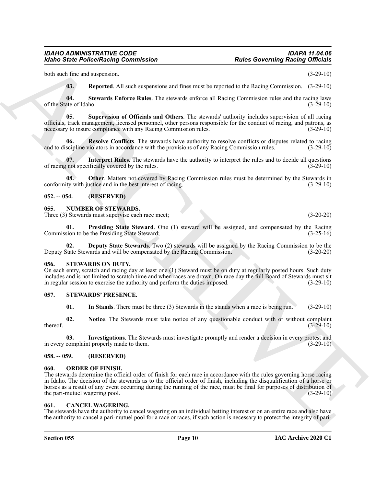both such fine and suspension. (3-29-10)

<span id="page-9-17"></span><span id="page-9-16"></span><span id="page-9-14"></span>**03. Reported**. All such suspensions and fines must be reported to the Racing Commission. (3-29-10)

**04. Stewards Enforce Rules**. The stewards enforce all Racing Commission rules and the racing laws of the State of Idaho. (3-29-10)

**05. Supervision of Officials and Others**. The stewards' authority includes supervision of all racing officials, track management, licensed personnel, other persons responsible for the conduct of racing, and patrons, as necessary to insure compliance with any Racing Commission rules. (3-29-10)

<span id="page-9-15"></span>**06. Resolve Conflicts**. The stewards have authority to resolve conflicts or disputes related to racing scipline violators in accordance with the provisions of any Racing Commission rules. (3-29-10) and to discipline violators in accordance with the provisions of any Racing Commission rules.

<span id="page-9-12"></span>**07.** Interpret Rules. The stewards have the authority to interpret the rules and to decide all questions not specifically covered by the rules. (3-29-10) of racing not specifically covered by the rules.

<span id="page-9-13"></span>**08.** Other. Matters not covered by Racing Commission rules must be determined by the Stewards in conformity with justice and in the best interest of racing. (3-29-10)

#### <span id="page-9-0"></span>**052. -- 054. (RESERVED)**

#### <span id="page-9-8"></span><span id="page-9-1"></span>**055. NUMBER OF STEWARDS.**

Three (3) Stewards must supervise each race meet; (3-20-20)

<span id="page-9-10"></span>**01. Presiding State Steward**. One (1) steward will be assigned, and compensated by the Racing Commission to be the Presiding State Steward; (3-25-16)

<span id="page-9-9"></span>**02. Deputy State Stewards**. Two (2) stewards will be assigned by the Racing Commission to be the Deputy State Stewards and will be compensated by the Racing Commission. (3-20-20)

#### <span id="page-9-18"></span><span id="page-9-2"></span>**056. STEWARDS ON DUTY.**

On each entry, scratch and racing day at least one (1) Steward must be on duty at regularly posted hours. Such duty includes and is not limited to scratch time and when races are drawn. On race day the full Board of Stewards must sit in regular session to exercise the authority and perform the duties imposed.

#### <span id="page-9-3"></span>**057. STEWARDS' PRESENCE.**

<span id="page-9-22"></span><span id="page-9-21"></span><span id="page-9-20"></span><span id="page-9-19"></span>**01.** In Stands. There must be three (3) Stewards in the stands when a race is being run. (3-29-10)

**02. Notice**. The Stewards must take notice of any questionable conduct with or without complaint  $t = (3-29-10)$ 

**03. Investigations**. The Stewards must investigate promptly and render a decision in every protest and in every complaint properly made to them. (3-29-10) (3-29-10)

#### <span id="page-9-4"></span>**058. -- 059. (RESERVED)**

#### <span id="page-9-11"></span><span id="page-9-5"></span>**060. ORDER OF FINISH.**

**Each Contract Professions Commutation Relation**<br>
Motion Similar Police Motion Commutation Relation Contract intervents of the contract of the line of the similar term in the state of the state of the state of the state The stewards determine the official order of finish for each race in accordance with the rules governing horse racing in Idaho. The decision of the stewards as to the official order of finish, including the disqualification of a horse or horses as a result of any event occurring during the running of the race, must be final for purposes of distribution of the pari-mutuel wagering pool. (3-29-10) (3-29-10)

#### <span id="page-9-7"></span><span id="page-9-6"></span>**061. CANCEL WAGERING.**

The stewards have the authority to cancel wagering on an individual betting interest or on an entire race and also have the authority to cancel a pari-mutuel pool for a race or races, if such action is necessary to protect the integrity of pari-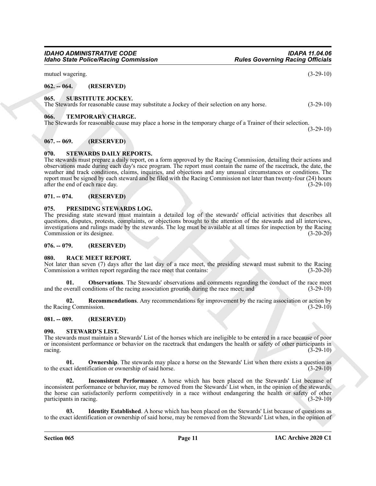# **Section 065 Page 11**

to the exact identification or ownership of said horse, may be removed from the Stewards' List when, in the opinion of

#### **IAC Archive 2020 C1**

**Ownership**. The stewards may place a horse on the Stewards' List when there exists a question as to the exact identification or ownership of said horse. (3-29-10)

<span id="page-10-18"></span>

**02. Inconsistent Performance**. A horse which has been placed on the Stewards' List because of inconsistent performance or behavior, may be removed from the Stewards' List when, in the opinion of the stewards,

the horse can satisfactorily perform competitively in a race without endangering the health or safety of other participants in racing. (3-29-10)

<span id="page-10-17"></span><span id="page-10-16"></span>**03. Identity Established**. A horse which has been placed on the Stewards' List because of questions as

The stewards must maintain a Stewards' List of the horses which are ineligible to be entered in a race because of poor or inconsistent performance or behavior on the racetrack that endangers the health or safety of other participants in racing. (3-29-10) racing.  $(3-29-10)$ 

<span id="page-10-9"></span>the Racing Commission. (3-29-10) (3-29-10) **081. -- 089. (RESERVED)**

<span id="page-10-14"></span><span id="page-10-13"></span>**02. Recommendations**. Any recommendations for improvement by the racing association or action by

<span id="page-10-8"></span>Not later than seven (7) days after the last day of a race meet, the presiding steward must submit to the Racing

**01. Observations**. The Stewards' observations and comments regarding the conduct of the race meet and the overall conditions of the racing association grounds during the race meet; and (3-29-10)

Commission a written report regarding the race meet that contains: (3-20-20)

<span id="page-10-12"></span><span id="page-10-7"></span>**076. -- 079. (RESERVED) 080. RACE MEET REPORT.**

The presiding state steward must maintain a detailed log of the stewards' official activities that describes all questions, disputes, protests, complaints, or objections brought to the attention of the stewards and all interviews, investigations and rulings made by the stewards. The log must be available at all times for inspection by the Racing Commission or its designee. (3-20-20)

**Earlier Professional Commutation.**<br> **Ratios Concerning Basicing Officials**<br>
and a measurement of **EAST RAYTED**<br>
66. STEPHTURE JOCKEY.<br>
ARCHIVE JOCKEY.<br>
ARCHIVE JOCKEY.<br>
ARCHIVE JOCKEY.<br>
ARCHIVE JOCKEY.<br>
ARCHIVE DESCRIPTI **067. -- 069. (RESERVED) 070. STEWARDS DAILY REPORTS.** The stewards must prepare a daily report, on a form approved by the Racing Commission, detailing their actions and observations made during each day's race program. The report must contain the name of the racetrack, the date, the weather and track conditions, claims, inquiries, and objections and any unusual circumstances or conditions. The

<span id="page-10-19"></span><span id="page-10-4"></span>report must be signed by each steward and be filed with the Racing Commission not later than twenty-four (24) hours after the end of each race day. (3-29-10)

<span id="page-10-21"></span><span id="page-10-3"></span><span id="page-10-2"></span>**066. TEMPORARY CHARGE.** The Stewards for reasonable cause may place a horse in the temporary charge of a Trainer of their selection. (3-29-10)

The Stewards for reasonable cause may substitute a Jockey of their selection on any horse. (3-29-10)

#### mutuel wagering. (3-29-10)

*Idaho State Police/Racing Commission* 

<span id="page-10-0"></span>**062. -- 064. (RESERVED)**

<span id="page-10-5"></span>**071. -- 074. (RESERVED)**

<span id="page-10-15"></span><span id="page-10-10"></span>**090. STEWARD'S LIST.**

<span id="page-10-11"></span><span id="page-10-6"></span>**075. PRESIDING STEWARDS LOG.**

<span id="page-10-20"></span><span id="page-10-1"></span>**065. SUBSTITUTE JOCKEY.**

*IDAHO ADMINISTRATIVE CODE IDAPA 11.04.06*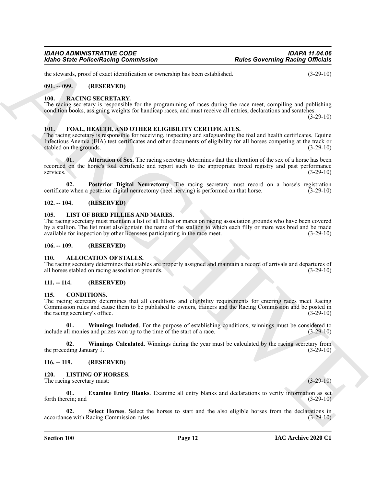the stewards, proof of exact identification or ownership has been established. (3-29-10)

#### <span id="page-11-0"></span>**091. -- 099. (RESERVED)**

#### <span id="page-11-22"></span><span id="page-11-1"></span>**100. RACING SECRETARY.**

The racing secretary is responsible for the programming of races during the race meet, compiling and publishing condition books, assigning weights for handicap races, and must receive all entries, declarations and scratches.

(3-29-10)

#### <span id="page-11-15"></span><span id="page-11-2"></span>**101. FOAL, HEALTH, AND OTHER ELIGIBILITY CERTIFICATES.**

Form of Saint-Poince Neumann is the two-states particles of observation of the states of the states of the states of the states of the states of the states of the states of the states of the states of the states of the st The racing secretary is responsible for receiving, inspecting and safeguarding the foal and health certificates, Equine Infectious Anemia (EIA) test certificates and other documents of eligibility for all horses competing at the track or stabled on the grounds. (3-29-10) stabled on the grounds.

<span id="page-11-16"></span>**01.** Alteration of Sex. The racing secretary determines that the alteration of the sex of a horse has been recorded on the horse's foal certificate and report such to the appropriate breed registry and past performance services. (3-29-10)

<span id="page-11-17"></span>**02. Posterior Digital Neurectomy**. The racing secretary must record on a horse's registration certificate when a posterior digital neurectomy (heel nerving) is performed on that horse. (3-29-10)

#### <span id="page-11-3"></span>**102. -- 104. (RESERVED)**

#### <span id="page-11-18"></span><span id="page-11-4"></span>**105. LIST OF BRED FILLIES AND MARES.**

The racing secretary must maintain a list of all fillies or mares on racing association grounds who have been covered by a stallion. The list must also contain the name of the stallion to which each filly or mare was bred and be made available for inspection by other licensees participating in the race meet. (3-29-10)

#### <span id="page-11-5"></span>**106. -- 109. (RESERVED)**

#### <span id="page-11-11"></span><span id="page-11-6"></span>**110. ALLOCATION OF STALLS.**

The racing secretary determines that stables are properly assigned and maintain a record of arrivals and departures of all horses stabled on racing association grounds. (3-29-10)

#### <span id="page-11-7"></span>**111. -- 114. (RESERVED)**

#### <span id="page-11-12"></span><span id="page-11-8"></span>**115. CONDITIONS.**

The racing secretary determines that all conditions and eligibility requirements for entering races meet Racing Commission rules and cause them to be published to owners, trainers and the Racing Commission and be posted in the racing secretary's office.

<span id="page-11-14"></span>**01. Winnings Included**. For the purpose of establishing conditions, winnings must be considered to include all monies and prizes won up to the time of the start of a race. (3-29-10)

<span id="page-11-13"></span>**02.** Winnings Calculated. Winnings during the year must be calculated by the racing secretary from eding January 1. (3-29-10) the preceding January 1.

#### <span id="page-11-9"></span>**116. -- 119. (RESERVED)**

#### <span id="page-11-19"></span><span id="page-11-10"></span>**120. LISTING OF HORSES.**

The racing secretary must: (3-29-10) (3-29-10)

<span id="page-11-20"></span>**01. Examine Entry Blanks**. Examine all entry blanks and declarations to verify information as set forth therein; and (3-29-10)

<span id="page-11-21"></span>**02. Select Horses**. Select the horses to start and the also eligible horses from the declarations in accordance with Racing Commission rules. (3-29-10)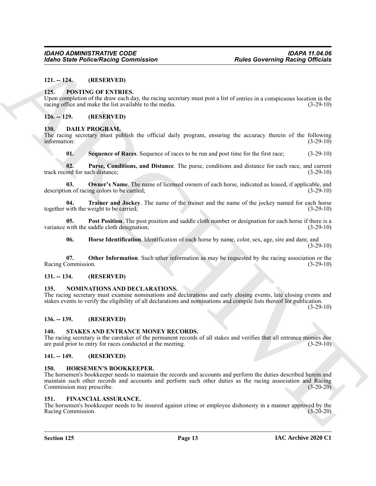#### <span id="page-12-0"></span>**121. -- 124. (RESERVED)**

#### <span id="page-12-22"></span><span id="page-12-1"></span>**125. POSTING OF ENTRIES.**

Upon completion of the draw each day, the racing secretary must post a list of entries in a conspicuous location in the racing office and make the list available to the media. (3-29-10) (3-29-10)

#### <span id="page-12-2"></span>**126. -- 129. (RESERVED)**

#### <span id="page-12-11"></span><span id="page-12-3"></span>**130. DAILY PROGRAM.**

The racing secretary must publish the official daily program, ensuring the accuracy therein of the following information: (3-29-10)

<span id="page-12-17"></span><span id="page-12-16"></span><span id="page-12-14"></span>**01. Sequence of Races**. Sequence of races to be run and post time for the first race; (3-29-10)

**02. Purse, Conditions, and Distance**. The purse, conditions and distance for each race, and current ord for such distance; (3-29-10) track record for such distance;

**03. Owner's Name**. The name of licensed owners of each horse, indicated as leased, if applicable, and description of racing colors to be carried; (3-29-10)

<span id="page-12-18"></span>**04. Trainer and Jockey**. The name of the trainer and the name of the jockey named for each horse with the weight to be carried; (3-29-10) together with the weight to be carried;

**05. Post Position**. The post position and saddle cloth number or designation for each horse if there is a with the saddle cloth designation: (3-29-10) variance with the saddle cloth designation;

<span id="page-12-15"></span><span id="page-12-13"></span><span id="page-12-12"></span>**06. Horse Identification**. Identification of each horse by name, color, sex, age, sire and dam; and (3-29-10)

**07. Other Information**. Such other information as may be requested by the racing association or the Racing Commission. (3-29-10)

#### <span id="page-12-4"></span>**131. -- 134. (RESERVED)**

#### <span id="page-12-21"></span><span id="page-12-5"></span>**135. NOMINATIONS AND DECLARATIONS.**

The racing secretary must examine nominations and declarations and early closing events, late closing events and stakes events to verify the eligibility of all declarations and nominations and compile lists thereof for publication.

 $(3-29-10)$ 

#### <span id="page-12-6"></span>**136. -- 139. (RESERVED)**

#### <span id="page-12-23"></span><span id="page-12-7"></span>**140. STAKES AND ENTRANCE MONEY RECORDS.**

The racing secretary is the caretaker of the permanent records of all stakes and verifies that all entrance monies due are paid prior to entry for races conducted at the meeting. (3-29-10)

#### <span id="page-12-20"></span><span id="page-12-8"></span>**141. -- 149. (RESERVED)**

#### <span id="page-12-9"></span>**150. HORSEMEN'S BOOKKEEPER.**

**Earlier Police Neutral Commutation**<br>
11.1.1-2. **ICENSITY: CONSITY (IVENET)**<br>
13. **ICENSITY: CONSITY (IVENET)**<br>
13. **ICENSITY: CONSITY REPART CONSITY (IVENET)**<br>
13. **ICENSITY: CONSITY REPART CONSITY PROPERTIES**<br>
1 The horsemen's bookkeeper needs to maintain the records and accounts and perform the duties described herein and maintain such other records and accounts and perform such other duties as the racing association and Racing Commission may prescribe. (3-20-20)

#### <span id="page-12-19"></span><span id="page-12-10"></span>**151. FINANCIAL ASSURANCE.**

The horsemen's bookkeeper needs to be insured against crime or employee dishonesty in a manner approved by the Racing Commission. (3-20-20) Racing Commission.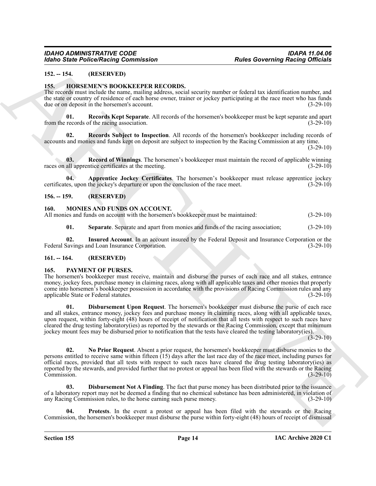#### <span id="page-13-6"></span><span id="page-13-0"></span>**152. -- 154. (RESERVED)**

#### <span id="page-13-1"></span>**155. HORSEMEN'S BOOKKEEPER RECORDS.**

The records must include the name, mailing address, social security number or federal tax identification number, and the state or country of residence of each horse owner, trainer or jockey participating at the race meet who has funds due or on deposit in the horsemen's account. (3-29-10)

<span id="page-13-9"></span>**01. Records Kept Separate**. All records of the horsemen's bookkeeper must be kept separate and apart from the records of the racing association. (3-29-10)

<span id="page-13-10"></span>**02. Records Subject to Inspection**. All records of the horsemen's bookkeeper including records of accounts and monies and funds kept on deposit are subject to inspection by the Racing Commission at any time.

(3-29-10)

<span id="page-13-8"></span>**03. Record of Winnings**. The horsemen's bookkeeper must maintain the record of applicable winning races on all apprentice certificates at the meeting. (3-29-10)

<span id="page-13-7"></span>Apprentice Jockey Certificates. The horsemen's bookkeeper must release apprentice jockey certificates, upon the jockey's departure or upon the conclusion of the race meet. (3-29-10)

#### <span id="page-13-2"></span>**156. -- 159. (RESERVED)**

#### <span id="page-13-11"></span><span id="page-13-3"></span>**160. MONIES AND FUNDS ON ACCOUNT.**

All monies and funds on account with the horsemen's bookkeeper must be maintained: (3-29-10)

<span id="page-13-13"></span><span id="page-13-12"></span>**01. Separate**. Separate and apart from monies and funds of the racing association; (3-29-10)

**02. Insured Account**. In an account insured by the Federal Deposit and Insurance Corporation or the Federal Savings and Loan Insurance Corporation. (3-29-10)

#### <span id="page-13-4"></span>**161. -- 164. (RESERVED)**

#### <span id="page-13-14"></span><span id="page-13-5"></span>**165. PAYMENT OF PURSES.**

The horsemen's bookkeeper must receive, maintain and disburse the purses of each race and all stakes, entrance money, jockey fees, purchase money in claiming races, along with all applicable taxes and other monies that properly come into horsemen's bookkeeper possession in accordance with the provisions of Racing Commission rules and any applicable State or Federal statutes. (3-29-10)

<span id="page-13-17"></span><span id="page-13-16"></span>**01. Disbursement Upon Request**. The horsemen's bookkeeper must disburse the purse of each race and all stakes, entrance money, jockey fees and purchase money in claiming races, along with all applicable taxes, upon request, within forty-eight (48) hours of receipt of notification that all tests with respect to such races have cleared the drug testing laboratory(ies) as reported by the stewards or the Racing Commission, except that minimum jockey mount fees may be disbursed prior to notification that the tests have cleared the testing laboratory(ies).

 $(3-29-10)$ 

Globo Sinte Police/Neising Commission<br>
1921. - 14. (1932) 11. (1932) 11. (1932) 11. (1933) 11. (1933) 11. (1933) 11. (1933) 11. (1933) 11. (1933) 11. (1933) 11. (1933) 11. (1933) 11. (1933) 11. (1933) 11. (1933) 11. (1933 **02. No Prior Request**. Absent a prior request, the horsemen's bookkeeper must disburse monies to the persons entitled to receive same within fifteen (15) days after the last race day of the race meet, including purses for official races, provided that all tests with respect to such races have cleared the drug testing laboratory(ies) as reported by the stewards, and provided further that no protest or appeal has been filed with the stewards or the Racing Commission. (3-29-10) Commission. (3-29-10)

<span id="page-13-15"></span>**Disbursement Not A Finding**. The fact that purse money has been distributed prior to the issuance of a laboratory report may not be deemed a finding that no chemical substance has been administered, in violation of any Racing Commission rules, to the horse earning such purse money. (3-29-10)

<span id="page-13-18"></span>**04. Protests**. In the event a protest or appeal has been filed with the stewards or the Racing Commission, the horsemen's bookkeeper must disburse the purse within forty-eight (48) hours of receipt of dismissal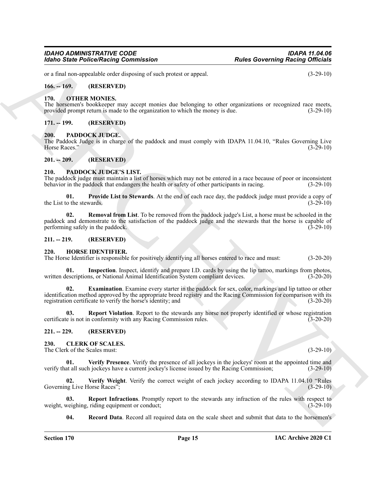or a final non-appealable order disposing of such protest or appeal. (3-29-10)

#### <span id="page-14-0"></span>**166. -- 169. (RESERVED)**

#### <span id="page-14-19"></span><span id="page-14-1"></span>**170. OTHER MONIES.**

The horsemen's bookkeeper may accept monies due belonging to other organizations or recognized race meets, provided prompt return is made to the organization to which the money is due. (3-29-10) provided prompt return is made to the organization to which the money is due.

#### <span id="page-14-2"></span>**171. -- 199. (RESERVED)**

#### <span id="page-14-20"></span><span id="page-14-3"></span>**200. PADDOCK JUDGE.**

The Paddock Judge is in charge of the paddock and must comply with IDAPA 11.04.10, "Rules Governing Live Horse Races." (3-29-10) Horse Races." (3-29-10)

#### <span id="page-14-4"></span>**201. -- 209. (RESERVED)**

#### <span id="page-14-21"></span><span id="page-14-5"></span>**210. PADDOCK JUDGE'S LIST.**

The paddock judge must maintain a list of horses which may not be entered in a race because of poor or inconsistent behavior in the paddock that endangers the health or safety of other participants in racing. (3-29-10)

<span id="page-14-22"></span>**01. Provide List to Stewards**. At the end of each race day, the paddock judge must provide a copy of o the stewards. (3-29-10) the List to the stewards.

<span id="page-14-23"></span>**02. Removal from List**. To be removed from the paddock judge's List, a horse must be schooled in the paddock and demonstrate to the satisfaction of the paddock judge and the stewards that the horse is capable of performing safely in the paddock.

#### <span id="page-14-6"></span>**211. -- 219. (RESERVED)**

#### <span id="page-14-15"></span><span id="page-14-7"></span>**220. HORSE IDENTIFIER.**

The Horse Identifier is responsible for positively identifying all horses entered to race and must: (3-20-20)

<span id="page-14-17"></span><span id="page-14-16"></span>**01. Inspection**. Inspect, identify and prepare I.D. cards by using the lip tattoo, markings from photos, written descriptions, or National Animal Identification System compliant devices. (3-20-20)

**Each State Police/Resing Commission**<br> **Archives Convenience Commission**<br>
16. Let us the special vector depends on the probability and probability and the special vector of the special vector of the special vector of the **02. Examination**. Examine every starter in the paddock for sex, color, markings and lip tattoo or other identification method approved by the appropriate breed registry and the Racing Commission for comparison with its registration certificate to verify the horse's identity; and (3-20-20)

<span id="page-14-18"></span>**03. Report Violation**. Report to the stewards any horse not properly identified or whose registration certificate is not in conformity with any Racing Commission rules. (3-20-20)

#### <span id="page-14-8"></span>**221. -- 229. (RESERVED)**

<span id="page-14-10"></span><span id="page-14-9"></span>**230. CLERK OF SCALES.** The Clerk of the Scales must: (3-29-10)

<span id="page-14-13"></span>**Verify Presence**. Verify the presence of all jockeys in the jockeys' room at the appointed time and verify that all such jockeys have a current jockey's license issued by the Racing Commission; (3-29-10)

<span id="page-14-14"></span>**02. Verify Weight**. Verify the correct weight of each jockey according to IDAPA 11.04.10 "Rules Governing Live Horse Races"; (3-29-10)

**03. Report Infractions**. Promptly report to the stewards any infraction of the rules with respect to veighing, riding equipment or conduct; weight, weighing, riding equipment or conduct;

<span id="page-14-12"></span><span id="page-14-11"></span>**04. Record Data**. Record all required data on the scale sheet and submit that data to the horsemen's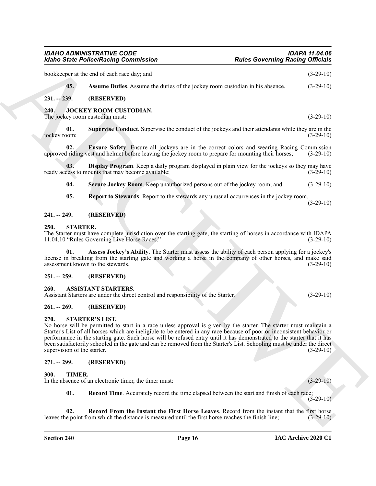<span id="page-15-17"></span><span id="page-15-14"></span><span id="page-15-13"></span><span id="page-15-12"></span><span id="page-15-11"></span><span id="page-15-1"></span><span id="page-15-0"></span>

| bookkeeper at the end of each race day; and<br>05.<br>Assume Duties. Assume the duties of the jockey room custodian in his absence.<br>(RESERVED)<br>$231. - 239.$<br>240.<br>JOCKEY ROOM CUSTODIAN.<br>The jockey room custodian must:<br>Supervise Conduct. Supervise the conduct of the jockeys and their attendants while they are in the<br>01.<br>jockey room;                                                                                                                                                                                                 | $(3-29-10)$<br>$(3-29-10)$<br>$(3-29-10)$ |
|----------------------------------------------------------------------------------------------------------------------------------------------------------------------------------------------------------------------------------------------------------------------------------------------------------------------------------------------------------------------------------------------------------------------------------------------------------------------------------------------------------------------------------------------------------------------|-------------------------------------------|
|                                                                                                                                                                                                                                                                                                                                                                                                                                                                                                                                                                      |                                           |
|                                                                                                                                                                                                                                                                                                                                                                                                                                                                                                                                                                      |                                           |
|                                                                                                                                                                                                                                                                                                                                                                                                                                                                                                                                                                      |                                           |
|                                                                                                                                                                                                                                                                                                                                                                                                                                                                                                                                                                      |                                           |
|                                                                                                                                                                                                                                                                                                                                                                                                                                                                                                                                                                      | $(3-29-10)$                               |
| 02.<br><b>Ensure Safety</b> . Ensure all jockeys are in the correct colors and wearing Racing Commission<br>approved riding vest and helmet before leaving the jockey room to prepare for mounting their horses;                                                                                                                                                                                                                                                                                                                                                     | $(3-29-10)$                               |
| Display Program. Keep a daily program displayed in plain view for the jockeys so they may have<br>03.<br>ready access to mounts that may become available;                                                                                                                                                                                                                                                                                                                                                                                                           | $(3-29-10)$                               |
| 04.<br>Secure Jockey Room. Keep unauthorized persons out of the jockey room; and                                                                                                                                                                                                                                                                                                                                                                                                                                                                                     | $(3-29-10)$                               |
| 05.<br>Report to Stewards. Report to the stewards any unusual occurrences in the jockey room.                                                                                                                                                                                                                                                                                                                                                                                                                                                                        | $(3-29-10)$                               |
| (RESERVED)<br>$241. - 249.$                                                                                                                                                                                                                                                                                                                                                                                                                                                                                                                                          |                                           |
| 250.<br><b>STARTER.</b><br>The Starter must have complete jurisdiction over the starting gate, the starting of horses in accordance with IDAPA<br>11.04.10 "Rules Governing Live Horse Races."                                                                                                                                                                                                                                                                                                                                                                       | $(3-29-10)$                               |
| Assess Jockey's Ability. The Starter must assess the ability of each person applying for a jockey's<br>01.<br>license in breaking from the starting gate and working a horse in the company of other horses, and make said<br>assessment known to the stewards.                                                                                                                                                                                                                                                                                                      | $(3-29-10)$                               |
| (RESERVED)<br>$251. - 259.$                                                                                                                                                                                                                                                                                                                                                                                                                                                                                                                                          |                                           |
| <b>ASSISTANT STARTERS.</b><br><b>260.</b><br>Assistant Starters are under the direct control and responsibility of the Starter.                                                                                                                                                                                                                                                                                                                                                                                                                                      | $(3-29-10)$                               |
| $261. - 269.$<br>(RESERVED)                                                                                                                                                                                                                                                                                                                                                                                                                                                                                                                                          |                                           |
| <b>STARTER'S LIST.</b><br>270.<br>No horse will be permitted to start in a race unless approval is given by the starter. The starter must maintain a<br>Starter's List of all horses which are ineligible to be entered in any race because of poor or inconsistent behavior or<br>performance in the starting gate. Such horse will be refused entry until it has demonstrated to the starter that it has<br>been satisfactorily schooled in the gate and can be removed from the Starter's List. Schooling must be under the direct<br>supervision of the starter. | $(3-29-10)$                               |
| $271. - 299.$<br>(RESERVED)                                                                                                                                                                                                                                                                                                                                                                                                                                                                                                                                          |                                           |
| TIMER.<br>300.<br>In the absence of an electronic timer, the timer must:                                                                                                                                                                                                                                                                                                                                                                                                                                                                                             | $(3-29-10)$                               |
| 01.<br>Record Time. Accurately record the time elapsed between the start and finish of each race;                                                                                                                                                                                                                                                                                                                                                                                                                                                                    | $(3-29-10)$                               |
| 02.<br>Record From the Instant the First Horse Leaves. Record from the instant that the first horse<br>leaves the point from which the distance is measured until the first horse reaches the finish line;                                                                                                                                                                                                                                                                                                                                                           | $(3-29-10)$                               |

#### <span id="page-15-19"></span><span id="page-15-18"></span><span id="page-15-16"></span><span id="page-15-15"></span><span id="page-15-10"></span><span id="page-15-5"></span><span id="page-15-4"></span><span id="page-15-3"></span><span id="page-15-2"></span>**260. ASSISTANT STARTERS.**

#### <span id="page-15-6"></span>**261. -- 269. (RESERVED)**

#### <span id="page-15-20"></span><span id="page-15-7"></span>**270. STARTER'S LIST.**

#### <span id="page-15-8"></span>**271. -- 299. (RESERVED)**

#### <span id="page-15-23"></span><span id="page-15-22"></span><span id="page-15-21"></span><span id="page-15-9"></span>**300. TIMER.**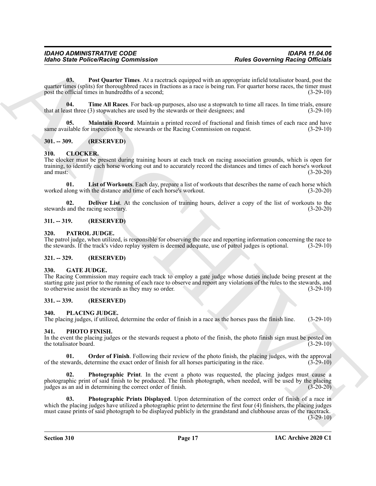For the Police Relation Commutation<br>
(a) The Contentration Commutation<br>
(a) The Contentration Commutation<br>
The Contentration Commutation<br>
The Contentration Contentration Contentration (a) The Contentration Contentration C **03. Post Quarter Times**. At a racetrack equipped with an appropriate infield totalisator board, post the quarter times (splits) for thoroughbred races in fractions as a race is being run. For quarter horse races, the timer must post the official times in hundredths of a second; (3-29-10)

<span id="page-16-21"></span><span id="page-16-20"></span>**04. Time All Races**. For back-up purposes, also use a stopwatch to time all races. In time trials, ensure ast three (3) stopwatches are used by the stewards or their designees: and (3-29-10) that at least three  $(3)$  stopwatches are used by the stewards or their designees; and

<span id="page-16-19"></span>**05. Maintain Record**. Maintain a printed record of fractional and finish times of each race and have same available for inspection by the stewards or the Racing Commission on request. (3-29-10)

#### <span id="page-16-0"></span>**301. -- 309. (RESERVED)**

#### <span id="page-16-9"></span><span id="page-16-1"></span>**310. CLOCKER.**

The clocker must be present during training hours at each track on racing association grounds, which is open for training, to identify each horse working out and to accurately record the distances and times of each horse's workout and must: (3-20-20) and must:  $(3-20-20)$ 

<span id="page-16-11"></span>**01. List of Workouts**. Each day, prepare a list of workouts that describes the name of each horse which worked along with the distance and time of each horse's workout. (3-20-20)

<span id="page-16-10"></span>**02. Deliver List**. At the conclusion of training hours, deliver a copy of the list of workouts to the and the racing secretary. (3-20-20) stewards and the racing secretary.

#### <span id="page-16-2"></span>**311. -- 319. (RESERVED)**

#### <span id="page-16-13"></span><span id="page-16-3"></span>**320. PATROL JUDGE.**

The patrol judge, when utilized, is responsible for observing the race and reporting information concerning the race to the stewards. If the track's video replay system is deemed adequate, use of patrol judges is optional. (3-29-10)

#### <span id="page-16-4"></span>**321. -- 329. (RESERVED)**

#### <span id="page-16-12"></span><span id="page-16-5"></span>**330. GATE JUDGE.**

The Racing Commission may require each track to employ a gate judge whose duties include being present at the starting gate just prior to the running of each race to observe and report any violations of the rules to the stewards, and to otherwise assist the stewards as they may so order. (3-29-10)

#### <span id="page-16-6"></span>**331. -- 339. (RESERVED)**

#### <span id="page-16-18"></span><span id="page-16-7"></span>**340. PLACING JUDGE.**

The placing judges, if utilized, determine the order of finish in a race as the horses pass the finish line. (3-29-10)

#### <span id="page-16-14"></span><span id="page-16-8"></span>**341. PHOTO FINISH.**

In the event the placing judges or the stewards request a photo of the finish, the photo finish sign must be posted on the totalisator board. (3-29-10) (3-29-10)

<span id="page-16-15"></span>**01. Order of Finish**. Following their review of the photo finish, the placing judges, with the approval of the stewards, determine the exact order of finish for all horses participating in the race. (3-29-10)

<span id="page-16-16"></span>**02. Photographic Print**. In the event a photo was requested, the placing judges must cause a photographic print of said finish to be produced. The finish photograph, when needed, will be used by the placing judges as an aid in determining the correct order of finish. (3-20-20)

<span id="page-16-17"></span>**03. Photographic Prints Displayed**. Upon determination of the correct order of finish of a race in which the placing judges have utilized a photographic print to determine the first four (4) finishers, the placing judges must cause prints of said photograph to be displayed publicly in the grandstand and clubhouse areas of the racetrack.

 $(3-29-10)$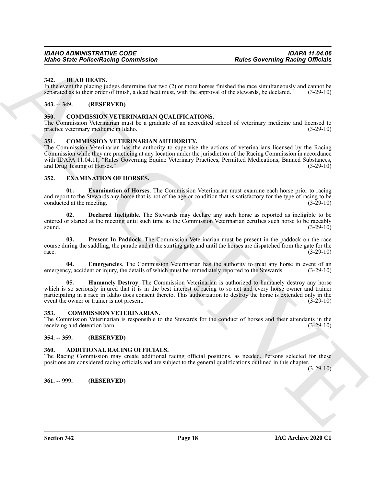#### <span id="page-17-13"></span><span id="page-17-0"></span>**342. DEAD HEATS.**

In the event the placing judges determine that two (2) or more horses finished the race simultaneously and cannot be separated as to their order of finish, a dead heat must, with the approval of the stewards, be declared. (3-29-10)

#### <span id="page-17-1"></span>**343. -- 349. (RESERVED)**

#### <span id="page-17-12"></span><span id="page-17-2"></span>**350. COMMISSION VETERINARIAN QUALIFICATIONS.**

The Commission Veterinarian must be a graduate of an accredited school of veterinary medicine and licensed to practice veterinary medicine in Idaho. (3-29-10)

#### <span id="page-17-11"></span><span id="page-17-3"></span>**351. COMMISSION VETERINARIAN AUTHORITY.**

**Earth Pointer Research Commutation**<br> **ARCHIVE CONSULTER CONSULTER CONSULTER CONSULTER CONSULTER CONSULTER CONSULTER CONSULTER CONSULTER CONSULTER CONSULTER CONSULTER CONSULTER CONSULTER CONSULTER CONSULTER CONSULTER CONS** The Commission Veterinarian has the authority to supervise the actions of veterinarians licensed by the Racing Commission while they are practicing at any location under the jurisdiction of the Racing Commission in accordance with IDAPA 11.04.11, "Rules Governing Equine Veterinary Practices, Permitted Medications, Banned Substances, and Drug Testing of Horses." (3-29-10)

#### <span id="page-17-14"></span><span id="page-17-4"></span>**352. EXAMINATION OF HORSES.**

<span id="page-17-17"></span>**01. Examination of Horses**. The Commission Veterinarian must examine each horse prior to racing and report to the Stewards any horse that is not of the age or condition that is satisfactory for the type of racing to be conducted at the meeting. (3-29-10) conducted at the meeting.

<span id="page-17-15"></span>**02. Declared Ineligible**. The Stewards may declare any such horse as reported as ineligible to be entered or started at the meeting until such time as the Commission Veterinarian certifies such horse to be raceably sound. (3-29-10) sound.  $(3-29-10)$ 

<span id="page-17-19"></span>**03. Present In Paddock**. The Commission Veterinarian must be present in the paddock on the race course during the saddling, the parade and at the starting gate and until the horses are dispatched from the gate for the race.  $(3-29-10)$ 

<span id="page-17-16"></span>**04. Emergencies**. The Commission Veterinarian has the authority to treat any horse in event of an emergency, accident or injury, the details of which must be immediately reported to the Stewards. (3-29-10)

<span id="page-17-18"></span>**05. Humanely Destroy**. The Commission Veterinarian is authorized to humanely destroy any horse which is so seriously injured that it is in the best interest of racing to so act and every horse owner and trainer participating in a race in Idaho does consent thereto. This authorization to destroy the horse is extended only in the event the owner or trainer is not present. (3-29-10)

#### <span id="page-17-10"></span><span id="page-17-5"></span>**353. COMMISSION VETERINARIAN.**

The Commission Veterinarian is responsible to the Stewards for the conduct of horses and their attendants in the receiving and detention barn. (3-29-10)

#### <span id="page-17-6"></span>**354. -- 359. (RESERVED)**

#### <span id="page-17-9"></span><span id="page-17-7"></span>**360. ADDITIONAL RACING OFFICIALS.**

The Racing Commission may create additional racing official positions, as needed. Persons selected for these positions are considered racing officials and are subject to the general qualifications outlined in this chapter.

 $(3-29-10)$ 

#### <span id="page-17-8"></span>**361. -- 999. (RESERVED)**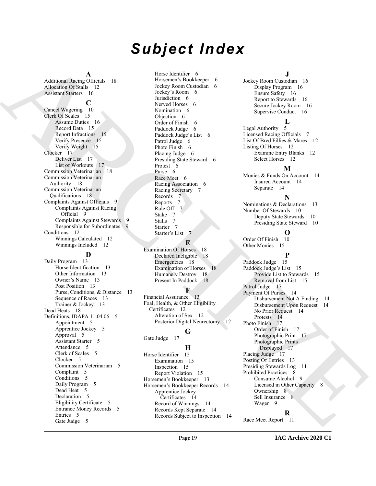# *Subject Index*

#### **A**

Additional Racing Officials 18 Allocation Of Stalls 12 Assistant Starters 16

#### **C**

Cancel Wagering 10 Clerk Of Scales 15 Assume Duties 16 Record Data 15 Report Infractions 15 Verify Presence 15 Verify Weight 15 Clocker 17 Deliver List 17 List of Workouts 17 Commission Veterinarian 18 Commission Veterinarian Authority 18 Commission Veterinarian Qualifications 18 Complaints Against Officials 9 Complaints Against Racing Official 9 Complaints Against Stewards 9 Responsible for Subordinates 9 Conditions 12 Winnings Calculated 12 Winnings Included 12

#### **D**

[A](#page-17-9)dditional Records of the control control of the spectra of the spectra of the spectra of the spectra of the spectra of the spectra of the spectra of the spectra of the spectra of the spectra of the spectra of the spectra Daily Program 13 Horse Identification 13 Other Information 13 Owner's Name 13 Post Position 13 Purse, Conditions, & Distance 13 Sequence of Races 13 Trainer & Jockey 13 Dead Heats 18 Definitions, IDAPA 11.04.06 5 Appointment 5 Apprentice Jockey 5 Approval 5 Assistant Starter 5 Attendance 5 Clerk of Scales 5 Clocker 5 Commission Veterinarian 5 Complaint 5 Conditions 5 Daily Program 5 Dead Heat 5 Declaration 5 Eligibility Certificate 5 Entrance Money Records 5 Entries 5 Gate Judge 5

Horse Identifier 6 Horsemen's Bookkeeper 6 Jockey Room Custodian 6 Jockey's Room 6 Jurisdiction 6 Nerved Horses 6 Nomination 6 Objection 6 Order of Finish 6 Paddock Judge 6 Paddock Judge's List 6 Patrol Judge 6 Photo Finish 6 Placing Judge 6 Presiding State Steward 6 Protest 6 Purse 6 Race Meet 6 Racing Association 6 Racing Secretary 7 Records 7 Reports 7 Rule Off 7 Stake 7 Stalls 7 Starter 7 Starter's List 7

#### **E**

Examination Of Horses 18 Declared Ineligible 18 Emergencies 18 Examination of Horses 18 Humanely Destroy 18 Present In Paddock 18

#### **F**

Financial Assurance 13 Foal, Health, & Other Eligibility Certificates 12 Alteration of Sex 12 Posterior Digital Neurectomy 12

#### **G**

Gate Judge 17

### **H**

Horse Identifier 15 Examination 15 Inspection 15 Report Violation 15 Horsemen's Bookkeeper 13 Horsemen's Bookkeeper Records 14 Apprentice Jockey Certificates 14 Record of Winnings 14 Records Kept Separate 14 Records Subject to Inspection 14

#### **J**

Jockey Room Custodian 16 Display Program 16 Ensure Safety 16 Report to Stewards 16 Secure Jockey Room 16 Supervise Conduct 16

#### **L**

Legal Authority 5 Licensed Racing Officials 7 List Of Bred Fillies & Mares 12 Listing Of Horses 12 Examine Entry Blanks 12 Select Horses 12

### **M**

Monies & Funds On Account 14 Insured Account 14 Separate 14

# **N**

Nominations & Declarations 13 Number Of Stewards 10 Deputy State Stewards 10 Presiding State Steward 10

# **O**

Order Of Finish 10 Other Monies 15

### **P**

Paddock Judge 15 Paddock Judge's List 15 Provide List to Stewards 15 Removal from List 15 Patrol Judge 17 Payment Of Purses 14 Disbursement Not A Finding 14 Disbursement Upon Request 14 No Prior Request 14 Protests 14 Photo Finish 17 Order of Finish 17 Photographic Print 17 Photographic Prints Displayed 17 Placing Judge 17 Posting Of Entries 13 Presiding Stewards Log 11 Prohibited Practices 8 Consume Alcohol 9 Licensed in Other Capacity 8 Ownership 8 Sell Insurance 8 Wager 9

### **R**

Race Meet Report 11